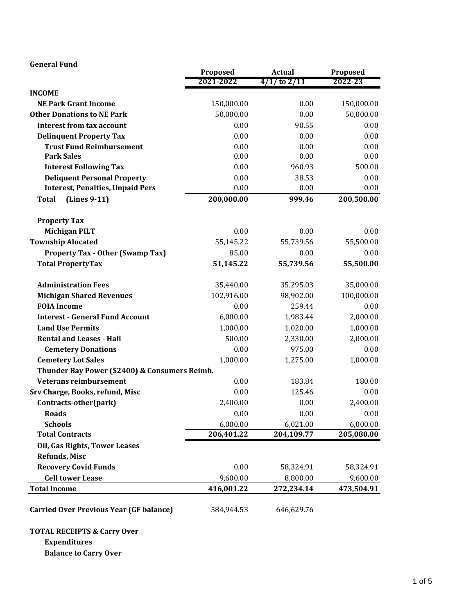| <b>General Fund</b>                            |                       |                                   |                     |
|------------------------------------------------|-----------------------|-----------------------------------|---------------------|
|                                                | Proposed<br>2021-2022 | <b>Actual</b><br>$4/1/$ to $2/11$ | Proposed<br>2022-23 |
| <b>INCOME</b>                                  |                       |                                   |                     |
| <b>NE Park Grant Income</b>                    | 150,000.00            | 0.00                              | 150,000.00          |
| <b>Other Donations to NE Park</b>              | 50,000.00             | 0.00                              | 50,000.00           |
| <b>Interest from tax account</b>               | 0.00                  | 90.55                             | 0.00                |
| <b>Delinquent Property Tax</b>                 | 0.00                  | 0.00                              | 0.00                |
| <b>Trust Fund Reimbursement</b>                | 0.00                  | 0.00                              | 0.00                |
| <b>Park Sales</b>                              | 0.00                  | 0.00                              | 0.00                |
| <b>Interest Following Tax</b>                  | 0.00                  | 960.93                            | 500.00              |
| <b>Deliquent Personal Property</b>             | 0.00                  | 38.53                             | 0.00                |
| <b>Interest, Penalties, Unpaid Pers</b>        | 0.00                  | 0.00                              | 0.00                |
| (Lines 9-11)<br><b>Total</b>                   | 200,000.00            | 999.46                            | 200,500.00          |
| <b>Property Tax</b>                            |                       |                                   |                     |
| <b>Michigan PILT</b>                           | 0.00                  | 0.00                              | 0.00                |
| <b>Township Alocated</b>                       | 55,145.22             | 55,739.56                         | 55,500.00           |
| <b>Property Tax - Other (Swamp Tax)</b>        | 85.00                 | 0.00                              | 0.00                |
| <b>Total PropertyTax</b>                       | 51,145.22             | 55,739.56                         | 55,500.00           |
| <b>Administration Fees</b>                     | 35,440.00             | 35,295.03                         | 35,000.00           |
| <b>Michigan Shared Revenues</b>                | 102,916.00            | 98,902.00                         | 100,000.00          |
| <b>FOIA Income</b>                             | 0.00                  | 259.44                            | 0.00                |
| <b>Interest - General Fund Account</b>         | 6,000.00              | 1,983.44                          | 2,000.00            |
| <b>Land Use Permits</b>                        | 1,000.00              | 1,020.00                          | 1,000.00            |
| <b>Rental and Leases - Hall</b>                | 500.00                | 2,330.00                          | 2,000.00            |
| <b>Cemetery Donations</b>                      | 0.00                  | 975.00                            | 0.00                |
| <b>Cemetery Lot Sales</b>                      | 1,000.00              | 1,275.00                          | 1,000.00            |
| Thunder Bay Power (\$2400) & Consumers Reimb.  |                       |                                   |                     |
| <b>Veterans reimbursement</b>                  | 0.00                  | 183.84                            | 180.00              |
| Srv Charge, Books, refund, Misc                | 0.00                  | 125.46                            | 0.00                |
| Contracts-other(park)                          | 2,400.00              | 0.00                              | 2,400.00            |
| <b>Roads</b>                                   | 0.00                  | 0.00                              | 0.00                |
| <b>Schools</b>                                 | 6,000.00              | 6,021.00                          | 6,000.00            |
| <b>Total Contracts</b>                         | 206,401.22            | 204,109.77                        | 205,080.00          |
| Oil, Gas Rights, Tower Leases                  |                       |                                   |                     |
| <b>Refunds, Misc</b>                           |                       |                                   |                     |
| <b>Recovery Covid Funds</b>                    | 0.00                  | 58,324.91                         | 58,324.91           |
| <b>Cell tower Lease</b>                        | 9,600.00              | 8,800.00                          | 9,600.00            |
| <b>Total Income</b>                            | 416,001.22            | 272,234.14                        | 473,504.91          |
| <b>Carried Over Previous Year (GF balance)</b> | 584,944.53            | 646,629.76                        |                     |

## **TOTAL RECEIPTS & Carry Over**

**Expenditures**

**Balance to Carry Over**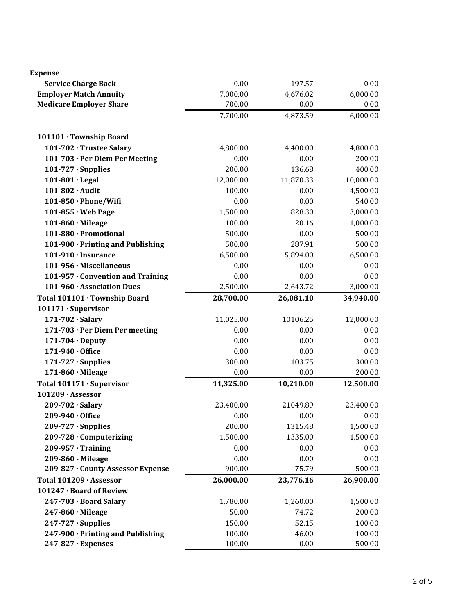| Expense                           |           |           |           |
|-----------------------------------|-----------|-----------|-----------|
| <b>Service Charge Back</b>        | 0.00      | 197.57    | 0.00      |
| <b>Employer Match Annuity</b>     | 7,000.00  | 4,676.02  | 6,000.00  |
| <b>Medicare Employer Share</b>    | 700.00    | 0.00      | 0.00      |
|                                   | 7,700.00  | 4,873.59  | 6,000.00  |
| 101101 · Township Board           |           |           |           |
| 101-702 · Trustee Salary          | 4,800.00  | 4,400.00  | 4,800.00  |
| 101-703 · Per Diem Per Meeting    | 0.00      | 0.00      | 200.00    |
| $101-727 \cdot$ Supplies          | 200.00    | 136.68    | 400.00    |
| 101-801 · Legal                   | 12,000.00 | 11,870.33 | 10,000.00 |
| 101-802 · Audit                   | 100.00    | 0.00      | 4,500.00  |
| 101-850 · Phone/Wifi              | 0.00      | 0.00      | 540.00    |
| $101-855 \cdot$ Web Page          | 1,500.00  | 828.30    | 3,000.00  |
| $101-860 \cdot$ Mileage           | 100.00    | 20.16     | 1,000.00  |
| 101-880 · Promotional             | 500.00    | 0.00      | 500.00    |
| 101-900 · Printing and Publishing | 500.00    | 287.91    | 500.00    |
| $101-910 \cdot$ Insurance         | 6,500.00  | 5,894.00  | 6,500.00  |
| 101-956 · Miscellaneous           | 0.00      | 0.00      | 0.00      |
| 101-957 · Convention and Training | 0.00      | 0.00      | 0.00      |
| 101-960 · Association Dues        | 2,500.00  | 2,643.72  | 3,000.00  |
| Total 101101 · Township Board     | 28,700.00 | 26,081.10 | 34,940.00 |
| 101171 · Supervisor               |           |           |           |
| 171-702 · Salary                  | 11,025.00 | 10106.25  | 12,000.00 |
| 171-703 · Per Diem Per meeting    | 0.00      | 0.00      | 0.00      |
| $171-704 \cdot$ Deputy            | 0.00      | 0.00      | 0.00      |
| 171-940 · Office                  | 0.00      | 0.00      | 0.00      |
| $171-727 \cdot$ Supplies          | 300.00    | 103.75    | 300.00    |
| 171-860 · Mileage                 | 0.00      | 0.00      | 200.00    |
| Total 101171 · Supervisor         | 11,325.00 | 10,210.00 | 12,500.00 |
| 101209 · Assessor                 |           |           |           |
| 209-702 · Salary                  | 23,400.00 | 21049.89  | 23,400.00 |
| 209-940 · Office                  | 0.00      | 0.00      | 0.00      |
| $209-727 \cdot$ Supplies          | 200.00    | 1315.48   | 1,500.00  |
| 209-728 · Computerizing           | 1,500.00  | 1335.00   | 1,500.00  |
| $209 - 957 \cdot Training$        | 0.00      | 0.00      | 0.00      |
| 209-860 - Mileage                 | 0.00      | 0.00      | 0.00      |
| 209-827 · County Assessor Expense | 900.00    | 75.79     | 500.00    |
| Total 101209 · Assessor           | 26,000.00 | 23,776.16 | 26,900.00 |
| 101247 · Board of Review          |           |           |           |
| 247-703 · Board Salary            | 1,780.00  | 1,260.00  | 1,500.00  |
| $247-860 \cdot$ Mileage           | 50.00     | 74.72     | 200.00    |
| $247 - 727 \cdot$ Supplies        | 150.00    | 52.15     | 100.00    |
| 247-900 · Printing and Publishing | 100.00    | 46.00     | 100.00    |
| 247-827 · Expenses                | 100.00    | 0.00      | 500.00    |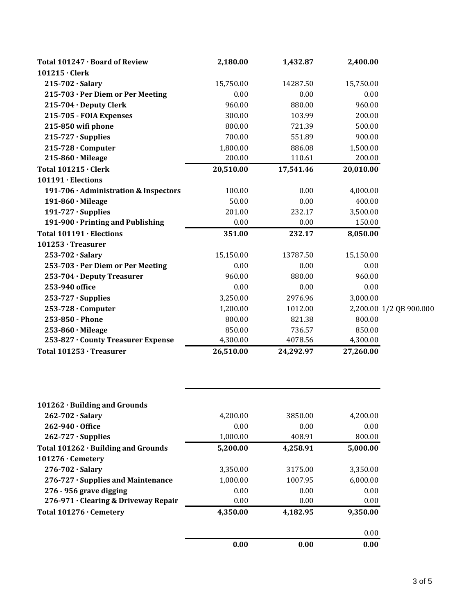| Total 101247 · Board of Review        | 2,180.00  | 1,432.87  | 2,400.00  |                         |
|---------------------------------------|-----------|-----------|-----------|-------------------------|
|                                       |           |           |           |                         |
| $101215 \cdot$ Clerk                  |           |           |           |                         |
| $215-702 \cdot$ Salary                | 15,750.00 | 14287.50  | 15,750.00 |                         |
| 215-703 · Per Diem or Per Meeting     | 0.00      | 0.00      | 0.00      |                         |
| 215-704 · Deputy Clerk                | 960.00    | 880.00    | 960.00    |                         |
| 215-705 - FOIA Expenses               | 300.00    | 103.99    | 200.00    |                         |
| 215-850 wifi phone                    | 800.00    | 721.39    | 500.00    |                         |
| $215 - 727 \cdot$ Supplies            | 700.00    | 551.89    | 900.00    |                         |
| $215 - 728$ $\cdot$ Computer          | 1,800.00  | 886.08    | 1,500.00  |                         |
| $215-860 \cdot$ Mileage               | 200.00    | 110.61    | 200.00    |                         |
| <b>Total 101215 · Clerk</b>           | 20,510.00 | 17,541.46 | 20,010.00 |                         |
| $101191 \cdot$ Elections              |           |           |           |                         |
| 191-706 · Administration & Inspectors | 100.00    | 0.00      | 4,000.00  |                         |
| $191-860 \cdot$ Mileage               | 50.00     | 0.00      | 400.00    |                         |
| $191-727 \cdot$ Supplies              | 201.00    | 232.17    | 3,500.00  |                         |
| 191-900 · Printing and Publishing     | 0.00      | 0.00      | 150.00    |                         |
| Total 101191 · Elections              | 351.00    | 232.17    | 8,050.00  |                         |
| 101253 · Treasurer                    |           |           |           |                         |
| $253 - 702 \cdot$ Salary              | 15,150.00 | 13787.50  | 15,150.00 |                         |
| 253-703 · Per Diem or Per Meeting     | 0.00      | 0.00      | 0.00      |                         |
| 253-704 · Deputy Treasurer            | 960.00    | 880.00    | 960.00    |                         |
| 253-940 office                        | 0.00      | 0.00      | 0.00      |                         |
| $253 - 727 \cdot$ Supplies            | 3,250.00  | 2976.96   | 3,000.00  |                         |
| $253 - 728$ $\cdot$ Computer          | 1,200.00  | 1012.00   |           | 2,200.00 1/2 QB 900.000 |
| 253-850 - Phone                       | 800.00    | 821.38    | 800.00    |                         |
| $253-860 \cdot$ Mileage               | 850.00    | 736.57    | 850.00    |                         |
| 253-827 · County Treasurer Expense    | 4,300.00  | 4078.56   | 4,300.00  |                         |
| Total 101253 · Treasurer              | 26,510.00 | 24,292.97 | 27,260.00 |                         |

|                                      | 0.00     | 0.00     | 0.00     |
|--------------------------------------|----------|----------|----------|
|                                      |          |          | 0.00     |
| Total 101276 · Cemetery              | 4,350.00 | 4,182.95 | 9.350.00 |
| 276-971 · Clearing & Driveway Repair | 0.00     | 0.00     | 0.00     |
| 276 - 956 grave digging              | 0.00     | 0.00     | 0.00     |
| 276-727 · Supplies and Maintenance   | 1,000.00 | 1007.95  | 6,000.00 |
| $276 - 702 \cdot$ Salary             | 3,350.00 | 3175.00  | 3,350.00 |
| $101276 \cdot$ Cemetery              |          |          |          |
| Total 101262 · Building and Grounds  | 5,200.00 | 4,258.91 | 5,000.00 |
| $262 - 727 \cdot$ Supplies           | 1,000.00 | 408.91   | 800.00   |
| $262 - 940 \cdot 0$ ffice            | 0.00     | 0.00     | 0.00     |
| $262 - 702 \cdot$ Salary             | 4,200.00 | 3850.00  | 4,200.00 |
| $101262 \cdot$ Building and Grounds  |          |          |          |
|                                      |          |          |          |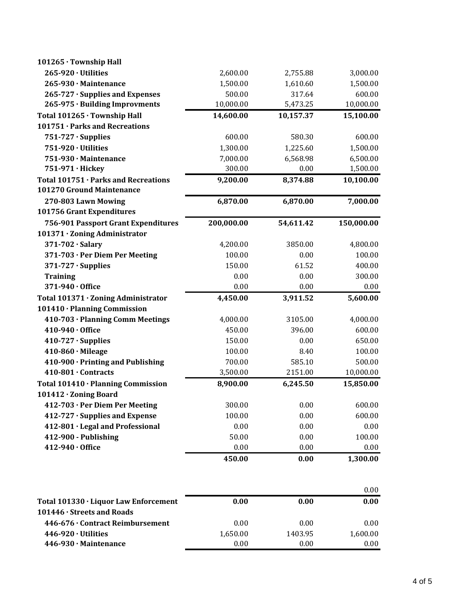| 101265 · Township Hall                                            |            |           |            |
|-------------------------------------------------------------------|------------|-----------|------------|
| $265 - 920 \cdot$ Utilities                                       | 2,600.00   | 2,755.88  | 3,000.00   |
| 265-930 · Maintenance                                             | 1,500.00   | 1,610.60  | 1,500.00   |
| 265-727 · Supplies and Expenses                                   | 500.00     | 317.64    | 600.00     |
| 265-975 · Building Improvments                                    | 10,000.00  | 5,473.25  | 10,000.00  |
| Total 101265 · Township Hall                                      | 14,600.00  | 10,157.37 | 15,100.00  |
| 101751 · Parks and Recreations                                    |            |           |            |
| $751-727 \cdot$ Supplies                                          | 600.00     | 580.30    | 600.00     |
| 751-920 · Utilities                                               | 1,300.00   | 1,225.60  | 1,500.00   |
| 751-930 · Maintenance                                             | 7,000.00   | 6,568.98  | 6,500.00   |
| 751-971 · Hickey                                                  | 300.00     | 0.00      | 1,500.00   |
| Total 101751 · Parks and Recreations<br>101270 Ground Maintenance | 9,200.00   | 8,374.88  | 10,100.00  |
| 270-803 Lawn Mowing<br>101756 Grant Expenditures                  | 6,870.00   | 6,870.00  | 7,000.00   |
| 756-901 Passport Grant Expenditures                               | 200,000.00 | 54,611.42 | 150,000.00 |
| 101371 · Zoning Administrator                                     |            |           |            |
| 371-702 · Salary                                                  | 4,200.00   | 3850.00   | 4,800.00   |
| 371-703 · Per Diem Per Meeting                                    | 100.00     | 0.00      | 100.00     |
| $371 - 727 \cdot$ Supplies                                        | 150.00     | 61.52     | 400.00     |
| <b>Training</b>                                                   | 0.00       | 0.00      | 300.00     |
| 371-940 · Office                                                  | 0.00       | 0.00      | 0.00       |
| Total 101371 · Zoning Administrator                               | 4,450.00   | 3,911.52  | 5,600.00   |
| 101410 · Planning Commission                                      |            |           |            |
| 410-703 · Planning Comm Meetings                                  | 4,000.00   | 3105.00   | 4,000.00   |
| 410-940 · Office                                                  | 450.00     | 396.00    | 600.00     |
| $410-727 \cdot$ Supplies                                          | 150.00     | 0.00      | 650.00     |
| $410-860 \cdot$ Mileage                                           | 100.00     | 8.40      | 100.00     |
| 410-900 · Printing and Publishing                                 | 700.00     | 585.10    | 500.00     |
| 410-801 · Contracts                                               | 3,500.00   | 2151.00   | 10,000.00  |
| Total 101410 · Planning Commission                                | 8,900.00   | 6,245.50  | 15,850.00  |
| 101412 · Zoning Board                                             |            |           |            |
| 412-703 · Per Diem Per Meeting                                    | 300.00     | 0.00      | 600.00     |
| 412-727 · Supplies and Expense                                    | 100.00     | 0.00      | 600.00     |
| 412-801 · Legal and Professional                                  | 0.00       | 0.00      | 0.00       |
| 412-900 - Publishing                                              | 50.00      | 0.00      | 100.00     |
| 412-940 · Office                                                  | 0.00       | 0.00      | 0.00       |
|                                                                   | 450.00     | 0.00      | 1,300.00   |

|                                       |          |         | 0.00     |
|---------------------------------------|----------|---------|----------|
| Total 101330 · Liquor Law Enforcement | 0.00     | 0.00    | 0.00     |
| 101446 · Streets and Roads            |          |         |          |
| 446-676 · Contract Reimbursement      | 0.00     | 0.00    | 0.00     |
| $446-920 \cdot$ Utilities             | 1,650.00 | 1403.95 | 1,600.00 |
| 446-930 · Maintenance                 | 0.00     | 0.00    | 0.00     |